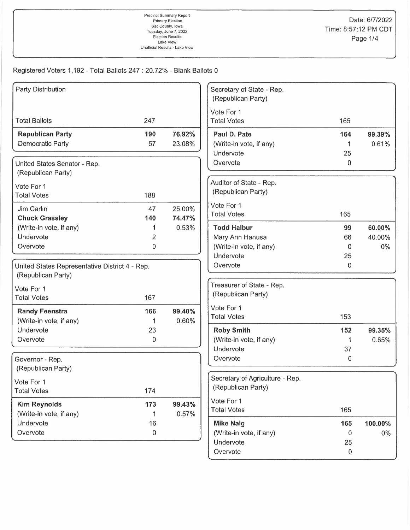Precinct Summary Report Sac County, Iowa Unofficial Results - Lake View

Registered Voters 1,192 - Total Ballots 247: 20.72% - Blank Ballots 0

| <b>Party Distribution</b>                      |                     |        | Secretary of State - Rep.<br>(Republican Party) |                |                  |
|------------------------------------------------|---------------------|--------|-------------------------------------------------|----------------|------------------|
|                                                |                     |        | Vote For 1                                      |                |                  |
| <b>Total Ballots</b>                           | 247                 |        | <b>Total Votes</b>                              | 165            |                  |
| <b>Republican Party</b>                        | 190                 | 76.92% | Paul D. Pate                                    | 164            | 99.39%           |
| <b>Democratic Party</b>                        | 57                  | 23.08% | (Write-in vote, if any)                         | 1              | 0.61%            |
|                                                |                     |        | Undervote                                       | 25             |                  |
| United States Senator - Rep.                   |                     |        | Overvote                                        | 0              |                  |
| (Republican Party)                             |                     |        |                                                 |                |                  |
| Vote For 1                                     |                     |        | Auditor of State - Rep.                         |                |                  |
| <b>Total Votes</b>                             | 188                 |        | (Republican Party)                              |                |                  |
|                                                |                     |        | Vote For 1                                      |                |                  |
| Jim Carlin                                     | 47                  | 25.00% | <b>Total Votes</b>                              | 165            |                  |
| <b>Chuck Grassley</b>                          | 140                 | 74.47% |                                                 |                |                  |
| (Write-in vote, if any)<br>Undervote           | 1<br>$\overline{2}$ | 0.53%  | <b>Todd Halbur</b>                              | 99             | 60.00%<br>40.00% |
| Overvote                                       | 0                   |        | Mary Ann Hanusa<br>(Write-in vote, if any)      | 66<br>0        | $0\%$            |
|                                                |                     |        | Undervote                                       | 25             |                  |
| United States Representative District 4 - Rep. |                     |        | Overvote                                        | 0              |                  |
| (Republican Party)                             |                     |        |                                                 |                |                  |
|                                                |                     |        | Treasurer of State - Rep.                       |                |                  |
| Vote For 1                                     |                     |        | (Republican Party)                              |                |                  |
| <b>Total Votes</b>                             | 167                 |        |                                                 |                |                  |
| <b>Randy Feenstra</b>                          | 166                 | 99.40% | Vote For 1                                      |                |                  |
| (Write-in vote, if any)                        | 1                   | 0.60%  | <b>Total Votes</b>                              | 153            |                  |
| Undervote                                      | 23                  |        | <b>Roby Smith</b>                               | 152            | 99.35%           |
| Overvote                                       | 0                   |        | (Write-in vote, if any)                         | 1              | 0.65%            |
|                                                |                     |        | Undervote                                       | 37             |                  |
| Governor - Rep.                                |                     |        | Overvote                                        | $\overline{0}$ |                  |
| (Republican Party)                             |                     |        |                                                 |                |                  |
| Vote For 1                                     |                     |        | Secretary of Agriculture - Rep.                 |                |                  |
| <b>Total Votes</b>                             | 174                 |        | (Republican Party)                              |                |                  |
| <b>Kim Reynolds</b>                            | 173                 | 99.43% | Vote For 1                                      |                |                  |
| (Write-in vote, if any)                        | 1                   | 0.57%  | <b>Total Votes</b>                              | 165            |                  |
| Undervote                                      | 16                  |        | <b>Mike Naig</b>                                | 165            | 100.00%          |
| Overvote                                       | $\boldsymbol{0}$    |        | (Write-in vote, if any)                         | 0              | 0%               |
|                                                |                     |        | Undervote                                       | 25             |                  |
|                                                |                     |        | Overvote                                        | $\,0\,$        |                  |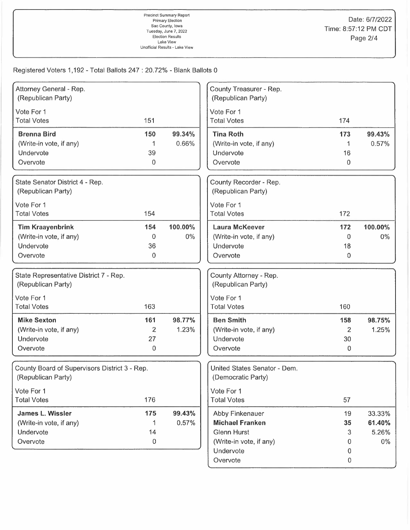Registered Voters 1,192 - Total Ballots 247: 20.72% - Blank Ballots 0

| Attorney General - Rep.                       |     |         | County Treasurer - Rep.      |                |         |
|-----------------------------------------------|-----|---------|------------------------------|----------------|---------|
| (Republican Party)                            |     |         | (Republican Party)           |                |         |
| Vote For 1                                    |     |         | Vote For 1                   |                |         |
| <b>Total Votes</b>                            | 151 |         | <b>Total Votes</b>           | 174            |         |
| <b>Brenna Bird</b>                            | 150 | 99.34%  | <b>Tina Roth</b>             | 173            | 99.43%  |
| (Write-in vote, if any)                       |     | 0.66%   | (Write-in vote, if any)      |                | 0.57%   |
| Undervote                                     | 39  |         | Undervote                    | 16             |         |
| Overvote                                      | 0   |         | Overvote                     | 0              |         |
| State Senator District 4 - Rep.               |     |         | County Recorder - Rep.       |                |         |
| (Republican Party)                            |     |         | (Republican Party)           |                |         |
| Vote For 1                                    |     |         | Vote For 1                   |                |         |
| <b>Total Votes</b>                            | 154 |         | <b>Total Votes</b>           | 172            |         |
| <b>Tim Kraayenbrink</b>                       | 154 | 100.00% | <b>Laura McKeever</b>        | 172            | 100.00% |
| (Write-in vote, if any)                       | 0   | $0\%$   | (Write-in vote, if any)      | $\overline{0}$ | $0\%$   |
| Undervote                                     | 36  |         | Undervote                    | 18             |         |
| Overvote                                      | 0   |         | Overvote                     | 0              |         |
| State Representative District 7 - Rep.        |     |         | County Attorney - Rep.       |                |         |
| (Republican Party)                            |     |         | (Republican Party)           |                |         |
| Vote For 1                                    |     |         | Vote For 1                   |                |         |
| <b>Total Votes</b>                            | 163 |         | <b>Total Votes</b>           | 160            |         |
| <b>Mike Sexton</b>                            | 161 | 98.77%  | <b>Ben Smith</b>             | 158            | 98.75%  |
| (Write-in vote, if any)                       | 2   | 1.23%   | (Write-in vote, if any)      | 2              | 1.25%   |
| Undervote                                     | 27  |         | Undervote                    | 30             |         |
| Overvote                                      | 0   |         | Overvote                     | 0              |         |
| County Board of Supervisors District 3 - Rep. |     |         | United States Senator - Dem. |                |         |
| (Republican Party)                            |     |         | (Democratic Party)           |                |         |
| Vote For 1                                    |     |         | Vote For 1                   |                |         |
| <b>Total Votes</b>                            | 176 |         | <b>Total Votes</b>           | 57             |         |
| James L. Wissler                              | 175 | 99.43%  | Abby Finkenauer              | 19             | 33.33%  |
| (Write-in vote, if any)                       | 1   | 0.57%   | <b>Michael Franken</b>       | 35             | 61.40%  |
| Undervote                                     | 14  |         | <b>Glenn Hurst</b>           | 3              | 5.26%   |
| Overvote                                      | 0   |         | (Write-in vote, if any)      | 0              | $0\%$   |
|                                               |     |         | Undervote                    | $\overline{0}$ |         |
|                                               |     |         | Overvote                     | 0              |         |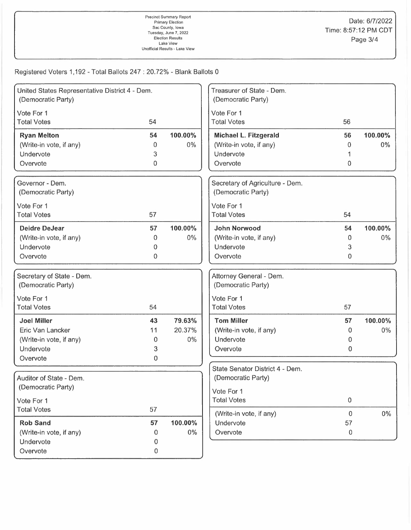Registered Voters 1,192 -Total Ballots 247: 20.72% - Blank Ballots 0

| United States Representative District 4 - Dem.<br>(Democratic Party) |    |         | Treasurer of State - Dem.<br>(Democratic Party) |                |         |
|----------------------------------------------------------------------|----|---------|-------------------------------------------------|----------------|---------|
| Vote For 1                                                           |    |         | Vote For 1                                      |                |         |
| <b>Total Votes</b>                                                   | 54 |         | <b>Total Votes</b>                              | 56             |         |
| <b>Ryan Melton</b>                                                   | 54 | 100.00% | Michael L. Fitzgerald                           | 56             | 100.00% |
| (Write-in vote, if any)                                              | 0  | $0\%$   | (Write-in vote, if any)                         | 0              | $0\%$   |
| Undervote                                                            | 3  |         | Undervote                                       |                |         |
| Overvote                                                             | 0  |         | Overvote                                        | 0              |         |
| Governor - Dem.                                                      |    |         | Secretary of Agriculture - Dem.                 |                |         |
| (Democratic Party)                                                   |    |         | (Democratic Party)                              |                |         |
| Vote For 1                                                           |    |         | Vote For 1                                      |                |         |
| <b>Total Votes</b>                                                   | 57 |         | <b>Total Votes</b>                              | 54             |         |
| <b>Deidre DeJear</b>                                                 | 57 | 100.00% | <b>John Norwood</b>                             | 54             | 100.00% |
| (Write-in vote, if any)                                              | 0  | $0\%$   | (Write-in vote, if any)                         | $\Omega$       | $0\%$   |
| Undervote                                                            | 0  |         | Undervote                                       | 3              |         |
| Overvote                                                             | 0  |         | Overvote                                        | 0              |         |
| Secretary of State - Dem.                                            |    |         | Attorney General - Dem.                         |                |         |
| (Democratic Party)                                                   |    |         | (Democratic Party)                              |                |         |
| Vote For 1                                                           |    |         | Vote For 1                                      |                |         |
| <b>Total Votes</b>                                                   | 54 |         | <b>Total Votes</b>                              | 57             |         |
| <b>Joel Miller</b>                                                   | 43 | 79.63%  | <b>Tom Miller</b>                               | 57             | 100.00% |
| Eric Van Lancker                                                     | 11 | 20.37%  | (Write-in vote, if any)                         | 0              | $0\%$   |
| (Write-in vote, if any)                                              | 0  | 0%      | Undervote                                       | 0              |         |
| Undervote                                                            | 3  |         | Overvote                                        | 0              |         |
| Overvote                                                             | 0  |         |                                                 |                |         |
|                                                                      |    |         | State Senator District 4 - Dem.                 |                |         |
| Auditor of State - Dem.                                              |    |         | (Democratic Party)                              |                |         |
| (Democratic Party)                                                   |    |         | Vote For 1                                      |                |         |
| Vote For 1                                                           |    |         | <b>Total Votes</b>                              | $\mathbf 0$    |         |
| <b>Total Votes</b>                                                   | 57 |         |                                                 | $\overline{0}$ |         |
| <b>Rob Sand</b>                                                      | 57 | 100.00% | (Write-in vote, if any)<br>Undervote            | 57             | $0\%$   |
| (Write-in vote, if any)                                              | 0  | $0\%$   | Overvote                                        | $\mathbf 0$    |         |
| Undervote                                                            | 0  |         |                                                 |                |         |
| Overvote                                                             | 0  |         |                                                 |                |         |
|                                                                      |    |         |                                                 |                |         |